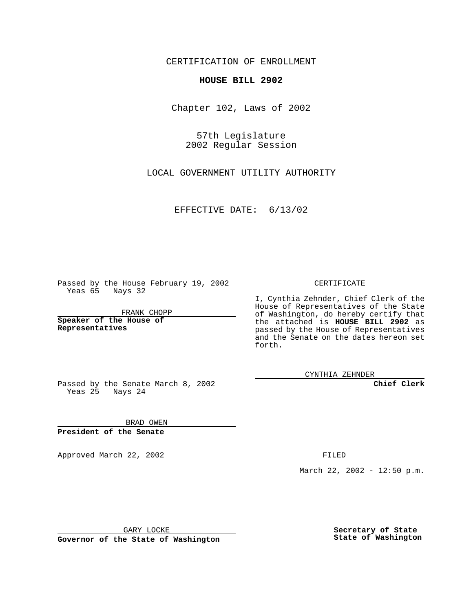CERTIFICATION OF ENROLLMENT

## **HOUSE BILL 2902**

Chapter 102, Laws of 2002

57th Legislature 2002 Regular Session

LOCAL GOVERNMENT UTILITY AUTHORITY

EFFECTIVE DATE: 6/13/02

Passed by the House February 19, 2002 Yeas 65 Nays 32

FRANK CHOPP

**Speaker of the House of Representatives**

CERTIFICATE

I, Cynthia Zehnder, Chief Clerk of the House of Representatives of the State of Washington, do hereby certify that the attached is **HOUSE BILL 2902** as passed by the House of Representatives and the Senate on the dates hereon set forth.

CYNTHIA ZEHNDER

**Chief Clerk**

Passed by the Senate March 8, 2002 Yeas 25 Nays 24

BRAD OWEN **President of the Senate**

Approved March 22, 2002 **FILED** 

March 22, 2002 - 12:50 p.m.

GARY LOCKE

**Governor of the State of Washington**

**Secretary of State State of Washington**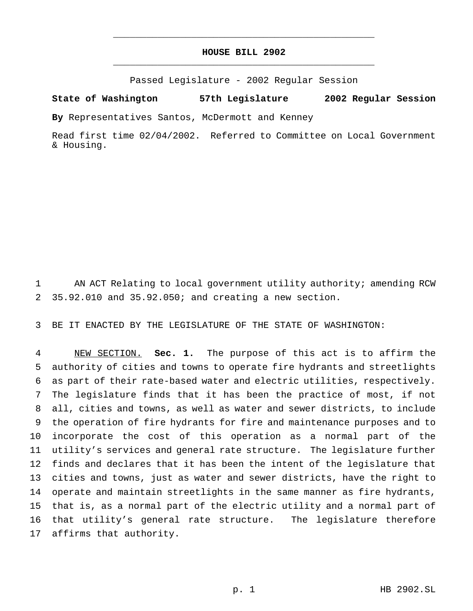## **HOUSE BILL 2902** \_\_\_\_\_\_\_\_\_\_\_\_\_\_\_\_\_\_\_\_\_\_\_\_\_\_\_\_\_\_\_\_\_\_\_\_\_\_\_\_\_\_\_\_\_\_\_

\_\_\_\_\_\_\_\_\_\_\_\_\_\_\_\_\_\_\_\_\_\_\_\_\_\_\_\_\_\_\_\_\_\_\_\_\_\_\_\_\_\_\_\_\_\_\_

Passed Legislature - 2002 Regular Session

## **State of Washington 57th Legislature 2002 Regular Session**

**By** Representatives Santos, McDermott and Kenney

Read first time 02/04/2002. Referred to Committee on Local Government & Housing.

1 AN ACT Relating to local government utility authority; amending RCW 35.92.010 and 35.92.050; and creating a new section.

BE IT ENACTED BY THE LEGISLATURE OF THE STATE OF WASHINGTON:

 NEW SECTION. **Sec. 1.** The purpose of this act is to affirm the authority of cities and towns to operate fire hydrants and streetlights as part of their rate-based water and electric utilities, respectively. The legislature finds that it has been the practice of most, if not all, cities and towns, as well as water and sewer districts, to include the operation of fire hydrants for fire and maintenance purposes and to incorporate the cost of this operation as a normal part of the utility's services and general rate structure. The legislature further finds and declares that it has been the intent of the legislature that cities and towns, just as water and sewer districts, have the right to operate and maintain streetlights in the same manner as fire hydrants, that is, as a normal part of the electric utility and a normal part of that utility's general rate structure. The legislature therefore affirms that authority.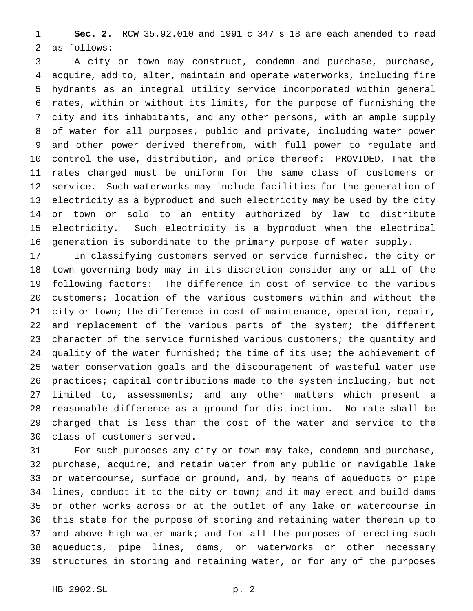**Sec. 2.** RCW 35.92.010 and 1991 c 347 s 18 are each amended to read as follows:

 A city or town may construct, condemn and purchase, purchase, 4 acquire, add to, alter, maintain and operate waterworks, including fire hydrants as an integral utility service incorporated within general 6 rates, within or without its limits, for the purpose of furnishing the city and its inhabitants, and any other persons, with an ample supply of water for all purposes, public and private, including water power and other power derived therefrom, with full power to regulate and control the use, distribution, and price thereof: PROVIDED, That the rates charged must be uniform for the same class of customers or service. Such waterworks may include facilities for the generation of electricity as a byproduct and such electricity may be used by the city or town or sold to an entity authorized by law to distribute electricity. Such electricity is a byproduct when the electrical generation is subordinate to the primary purpose of water supply.

 In classifying customers served or service furnished, the city or town governing body may in its discretion consider any or all of the following factors: The difference in cost of service to the various customers; location of the various customers within and without the city or town; the difference in cost of maintenance, operation, repair, and replacement of the various parts of the system; the different character of the service furnished various customers; the quantity and quality of the water furnished; the time of its use; the achievement of water conservation goals and the discouragement of wasteful water use practices; capital contributions made to the system including, but not limited to, assessments; and any other matters which present a reasonable difference as a ground for distinction. No rate shall be charged that is less than the cost of the water and service to the class of customers served.

 For such purposes any city or town may take, condemn and purchase, purchase, acquire, and retain water from any public or navigable lake or watercourse, surface or ground, and, by means of aqueducts or pipe lines, conduct it to the city or town; and it may erect and build dams or other works across or at the outlet of any lake or watercourse in this state for the purpose of storing and retaining water therein up to 37 and above high water mark; and for all the purposes of erecting such aqueducts, pipe lines, dams, or waterworks or other necessary structures in storing and retaining water, or for any of the purposes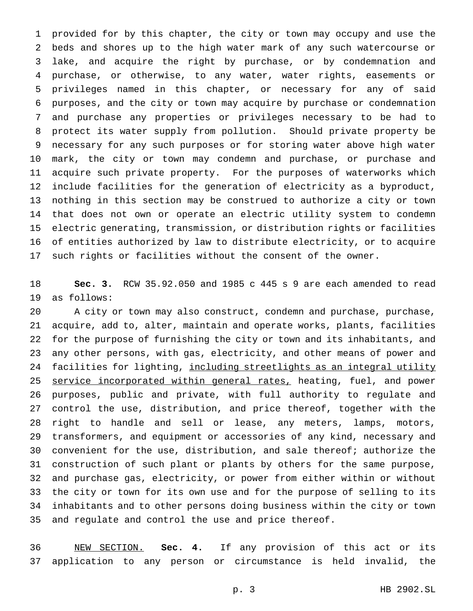provided for by this chapter, the city or town may occupy and use the beds and shores up to the high water mark of any such watercourse or lake, and acquire the right by purchase, or by condemnation and purchase, or otherwise, to any water, water rights, easements or privileges named in this chapter, or necessary for any of said purposes, and the city or town may acquire by purchase or condemnation and purchase any properties or privileges necessary to be had to protect its water supply from pollution. Should private property be necessary for any such purposes or for storing water above high water mark, the city or town may condemn and purchase, or purchase and acquire such private property. For the purposes of waterworks which include facilities for the generation of electricity as a byproduct, nothing in this section may be construed to authorize a city or town that does not own or operate an electric utility system to condemn electric generating, transmission, or distribution rights or facilities of entities authorized by law to distribute electricity, or to acquire such rights or facilities without the consent of the owner.

 **Sec. 3.** RCW 35.92.050 and 1985 c 445 s 9 are each amended to read as follows:

 A city or town may also construct, condemn and purchase, purchase, acquire, add to, alter, maintain and operate works, plants, facilities for the purpose of furnishing the city or town and its inhabitants, and any other persons, with gas, electricity, and other means of power and 24 facilities for lighting, including streetlights as an integral utility 25 service incorporated within general rates, heating, fuel, and power purposes, public and private, with full authority to regulate and control the use, distribution, and price thereof, together with the right to handle and sell or lease, any meters, lamps, motors, transformers, and equipment or accessories of any kind, necessary and convenient for the use, distribution, and sale thereof; authorize the construction of such plant or plants by others for the same purpose, and purchase gas, electricity, or power from either within or without the city or town for its own use and for the purpose of selling to its inhabitants and to other persons doing business within the city or town and regulate and control the use and price thereof.

 NEW SECTION. **Sec. 4.** If any provision of this act or its application to any person or circumstance is held invalid, the